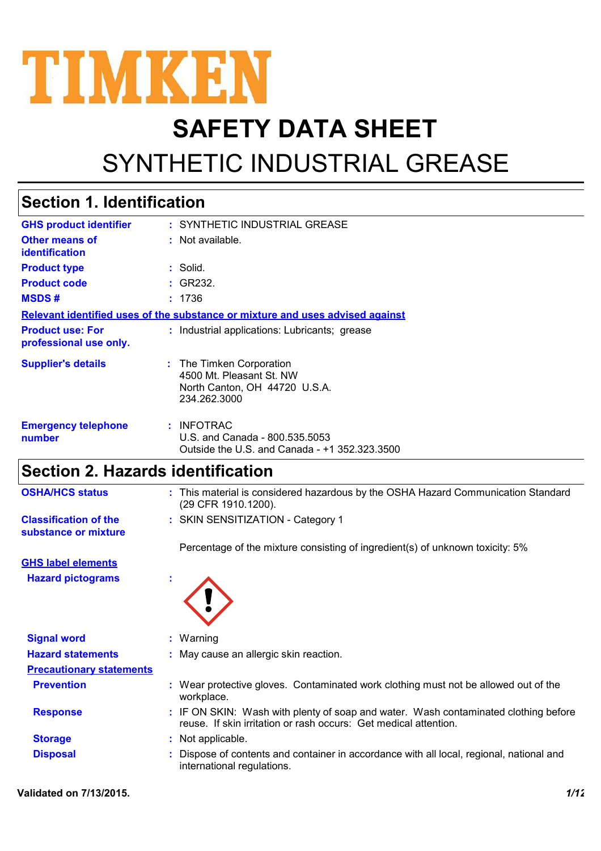

# **SAFETY DATA SHEET**

# SYNTHETIC INDUSTRIAL GREASE

### **Section 1. Identification**

| <b>GHS product identifier</b>                     | : SYNTHETIC INDUSTRIAL GREASE                                                                         |
|---------------------------------------------------|-------------------------------------------------------------------------------------------------------|
| <b>Other means of</b><br><i>identification</i>    | : Not available.                                                                                      |
| <b>Product type</b>                               | : Solid.                                                                                              |
| <b>Product code</b>                               | : GR232.                                                                                              |
| <b>MSDS#</b>                                      | : 1736                                                                                                |
|                                                   | Relevant identified uses of the substance or mixture and uses advised against                         |
| <b>Product use: For</b><br>professional use only. | : Industrial applications: Lubricants; grease                                                         |
| <b>Supplier's details</b>                         | : The Timken Corporation<br>4500 Mt. Pleasant St. NW<br>North Canton, OH 44720 U.S.A.<br>234.262.3000 |
| <b>Emergency telephone</b><br>number              | : INFOTRAC<br>U.S. and Canada - 800.535.5053<br>Outside the U.S. and Canada - +1 352.323.3500         |

### **Section 2. Hazards identification**

| <b>OSHA/HCS status</b>                               | : This material is considered hazardous by the OSHA Hazard Communication Standard<br>(29 CFR 1910.1200). |
|------------------------------------------------------|----------------------------------------------------------------------------------------------------------|
| <b>Classification of the</b><br>substance or mixture | : SKIN SENSITIZATION - Category 1                                                                        |
|                                                      | Percentage of the mixture consisting of ingredient(s) of unknown toxicity: 5%                            |

**Hazard pictograms : GHS label elements**



| <b>Signal word</b>              | $:$ Warning                                                                                                                                             |
|---------------------------------|---------------------------------------------------------------------------------------------------------------------------------------------------------|
| <b>Hazard statements</b>        | : May cause an allergic skin reaction.                                                                                                                  |
| <b>Precautionary statements</b> |                                                                                                                                                         |
| <b>Prevention</b>               | : Wear protective gloves. Contaminated work clothing must not be allowed out of the<br>workplace.                                                       |
| <b>Response</b>                 | : IF ON SKIN: Wash with plenty of soap and water. Wash contaminated clothing before<br>reuse. If skin irritation or rash occurs: Get medical attention. |
| <b>Storage</b>                  | : Not applicable.                                                                                                                                       |
| <b>Disposal</b>                 | : Dispose of contents and container in accordance with all local, regional, national and<br>international regulations.                                  |

#### **Validated on 7/13/2015.** *1/12*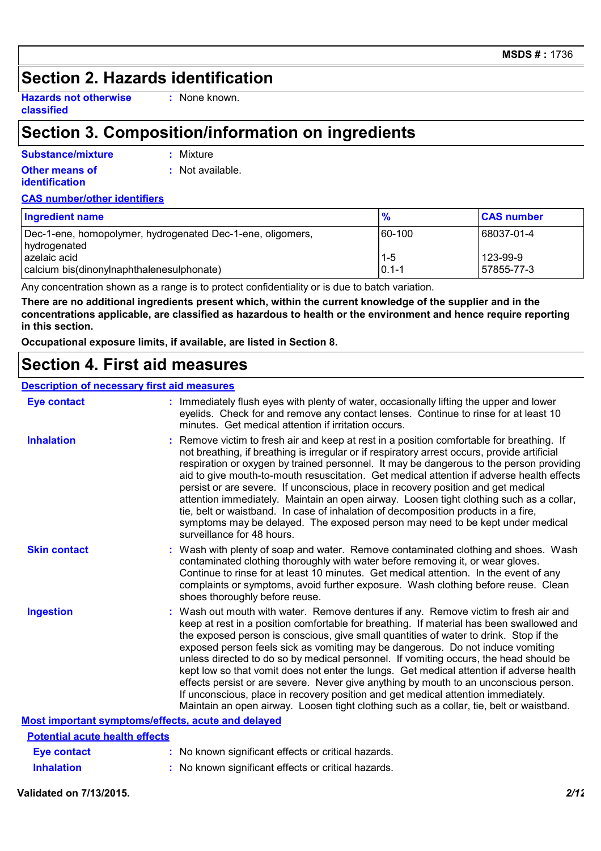### **Section 2. Hazards identification**

**Hazards not otherwise classified**

**:** None known.

### **Section 3. Composition/information on ingredients**

| Substance/mixture                       | : Mixture        |
|-----------------------------------------|------------------|
| Other means of<br><i>identification</i> | : Not available. |

#### **CAS number/other identifiers**

| <b>Ingredient name</b>                                                     | $\frac{9}{6}$      | <b>CAS number</b>        |
|----------------------------------------------------------------------------|--------------------|--------------------------|
| Dec-1-ene, homopolymer, hydrogenated Dec-1-ene, oligomers,<br>hydrogenated | 60-100             | 68037-01-4               |
| azelaic acid<br>calcium bis(dinonylnaphthalenesulphonate)                  | $1-5$<br>$0.1 - 1$ | 123-99-9<br>l 57855-77-3 |

Any concentration shown as a range is to protect confidentiality or is due to batch variation.

**There are no additional ingredients present which, within the current knowledge of the supplier and in the concentrations applicable, are classified as hazardous to health or the environment and hence require reporting in this section.**

**Occupational exposure limits, if available, are listed in Section 8.**

### **Section 4. First aid measures**

#### **Description of necessary first aid measures**

| <b>Eye contact</b>                                        | : Immediately flush eyes with plenty of water, occasionally lifting the upper and lower<br>eyelids. Check for and remove any contact lenses. Continue to rinse for at least 10<br>minutes. Get medical attention if irritation occurs.                                                                                                                                                                                                                                                                                                                                                                                                                                                                                                                                                                                    |
|-----------------------------------------------------------|---------------------------------------------------------------------------------------------------------------------------------------------------------------------------------------------------------------------------------------------------------------------------------------------------------------------------------------------------------------------------------------------------------------------------------------------------------------------------------------------------------------------------------------------------------------------------------------------------------------------------------------------------------------------------------------------------------------------------------------------------------------------------------------------------------------------------|
| <b>Inhalation</b>                                         | : Remove victim to fresh air and keep at rest in a position comfortable for breathing. If<br>not breathing, if breathing is irregular or if respiratory arrest occurs, provide artificial<br>respiration or oxygen by trained personnel. It may be dangerous to the person providing<br>aid to give mouth-to-mouth resuscitation. Get medical attention if adverse health effects<br>persist or are severe. If unconscious, place in recovery position and get medical<br>attention immediately. Maintain an open airway. Loosen tight clothing such as a collar,<br>tie, belt or waistband. In case of inhalation of decomposition products in a fire,<br>symptoms may be delayed. The exposed person may need to be kept under medical<br>surveillance for 48 hours.                                                    |
| <b>Skin contact</b>                                       | : Wash with plenty of soap and water. Remove contaminated clothing and shoes. Wash<br>contaminated clothing thoroughly with water before removing it, or wear gloves.<br>Continue to rinse for at least 10 minutes. Get medical attention. In the event of any<br>complaints or symptoms, avoid further exposure. Wash clothing before reuse. Clean<br>shoes thoroughly before reuse.                                                                                                                                                                                                                                                                                                                                                                                                                                     |
| <b>Ingestion</b>                                          | : Wash out mouth with water. Remove dentures if any. Remove victim to fresh air and<br>keep at rest in a position comfortable for breathing. If material has been swallowed and<br>the exposed person is conscious, give small quantities of water to drink. Stop if the<br>exposed person feels sick as vomiting may be dangerous. Do not induce vomiting<br>unless directed to do so by medical personnel. If vomiting occurs, the head should be<br>kept low so that vomit does not enter the lungs. Get medical attention if adverse health<br>effects persist or are severe. Never give anything by mouth to an unconscious person.<br>If unconscious, place in recovery position and get medical attention immediately.<br>Maintain an open airway. Loosen tight clothing such as a collar, tie, belt or waistband. |
| <b>Most important symptoms/effects, acute and delayed</b> |                                                                                                                                                                                                                                                                                                                                                                                                                                                                                                                                                                                                                                                                                                                                                                                                                           |
| <b>Potential acute health effects</b>                     |                                                                                                                                                                                                                                                                                                                                                                                                                                                                                                                                                                                                                                                                                                                                                                                                                           |
| <b>Eye contact</b>                                        | : No known significant effects or critical hazards.                                                                                                                                                                                                                                                                                                                                                                                                                                                                                                                                                                                                                                                                                                                                                                       |
| <b>Inhalation</b>                                         | : No known significant effects or critical hazards.                                                                                                                                                                                                                                                                                                                                                                                                                                                                                                                                                                                                                                                                                                                                                                       |

#### **Validated on 7/13/2015.** *2/12*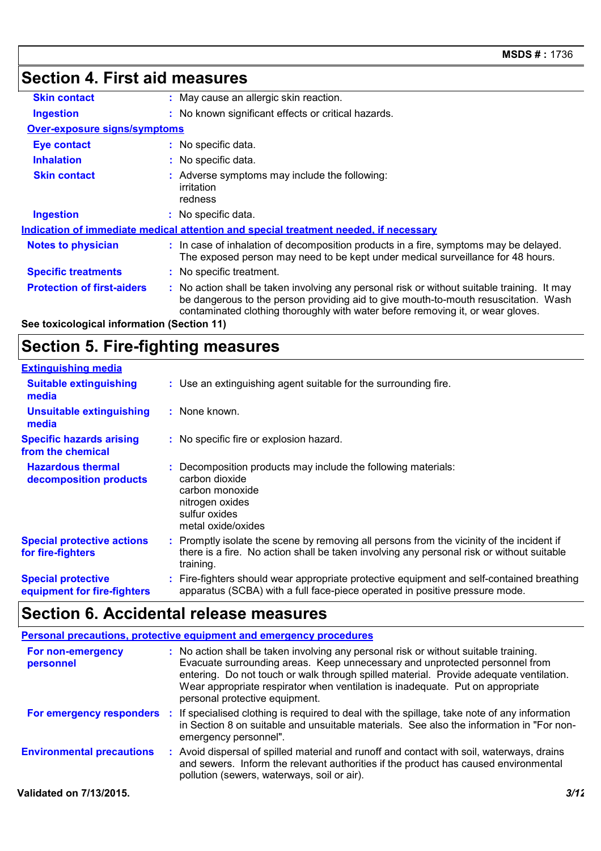#### **Section 4. First aid measures Protection of first-aiders** : No action shall be taken involving any personal risk or without suitable training. It may be dangerous to the person providing aid to give mouth-to-mouth resuscitation. Wash contaminated clothing thoroughly with water before removing it, or wear gloves. **Notes to physician <b>:** In case of inhalation of decomposition products in a fire, symptoms may be delayed. The exposed person may need to be kept under medical surveillance for 48 hours. **Specific treatments :** No specific treatment. **Ingestion :** No known significant effects or critical hazards. **Skin contact :** May cause an allergic skin reaction. **Over-exposure signs/symptoms Skin contact Ingestion Inhalation :** No specific data. No specific data. **:** Adverse symptoms may include the following: **:** irritation redness **Eye contact :** No specific data. **See toxicological information (Section 11) Indication of immediate medical attention and special treatment needed, if necessary**

## **Section 5. Fire-fighting measures**

| <b>Extinguishing media</b>                               |                                                                                                                                                                                                   |
|----------------------------------------------------------|---------------------------------------------------------------------------------------------------------------------------------------------------------------------------------------------------|
| <b>Suitable extinguishing</b><br>media                   | : Use an extinguishing agent suitable for the surrounding fire.                                                                                                                                   |
| <b>Unsuitable extinguishing</b><br>media                 | : None known.                                                                                                                                                                                     |
| <b>Specific hazards arising</b><br>from the chemical     | : No specific fire or explosion hazard.                                                                                                                                                           |
| <b>Hazardous thermal</b><br>decomposition products       | Decomposition products may include the following materials:<br>carbon dioxide<br>carbon monoxide<br>nitrogen oxides<br>sulfur oxides<br>metal oxide/oxides                                        |
| <b>Special protective actions</b><br>for fire-fighters   | Promptly isolate the scene by removing all persons from the vicinity of the incident if<br>there is a fire. No action shall be taken involving any personal risk or without suitable<br>training. |
| <b>Special protective</b><br>equipment for fire-fighters | : Fire-fighters should wear appropriate protective equipment and self-contained breathing<br>apparatus (SCBA) with a full face-piece operated in positive pressure mode.                          |

### **Section 6. Accidental release measures**

|                                  | <b>Personal precautions, protective equipment and emergency procedures</b>                                                                                                                                                                                                                                                                                                        |
|----------------------------------|-----------------------------------------------------------------------------------------------------------------------------------------------------------------------------------------------------------------------------------------------------------------------------------------------------------------------------------------------------------------------------------|
| For non-emergency<br>personnel   | : No action shall be taken involving any personal risk or without suitable training.<br>Evacuate surrounding areas. Keep unnecessary and unprotected personnel from<br>entering. Do not touch or walk through spilled material. Provide adequate ventilation.<br>Wear appropriate respirator when ventilation is inadequate. Put on appropriate<br>personal protective equipment. |
|                                  | <b>For emergency responders</b> : If specialised clothing is required to deal with the spillage, take note of any information<br>in Section 8 on suitable and unsuitable materials. See also the information in "For non-<br>emergency personnel".                                                                                                                                |
| <b>Environmental precautions</b> | : Avoid dispersal of spilled material and runoff and contact with soil, waterways, drains<br>and sewers. Inform the relevant authorities if the product has caused environmental<br>pollution (sewers, waterways, soil or air).                                                                                                                                                   |
| Validated on 7/13/2015.          | 3/12                                                                                                                                                                                                                                                                                                                                                                              |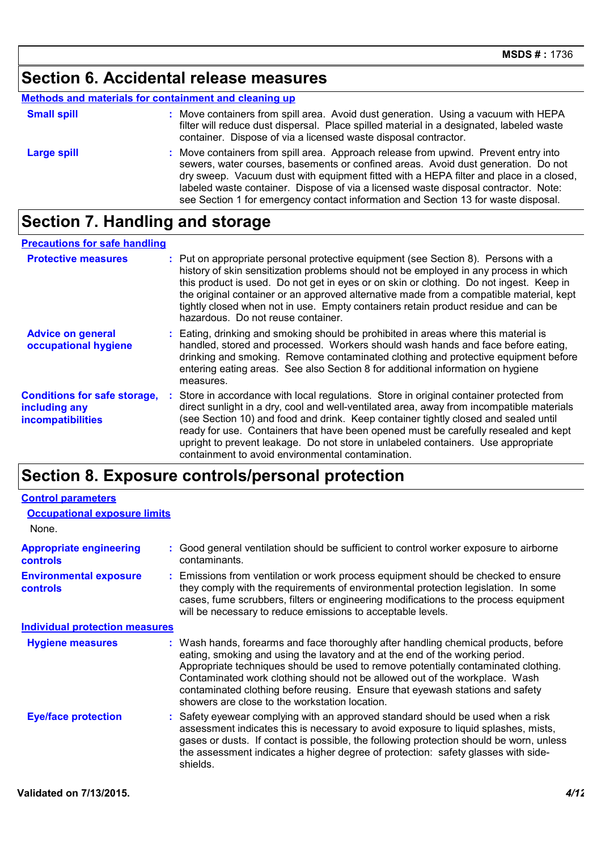### **Section 6. Accidental release measures**

### **Methods and materials for containment and cleaning up**

| <b>Small spill</b> | : Move containers from spill area. Avoid dust generation. Using a vacuum with HEPA<br>filter will reduce dust dispersal. Place spilled material in a designated, labeled waste<br>container. Dispose of via a licensed waste disposal contractor.                                                                                                                                                                                               |
|--------------------|-------------------------------------------------------------------------------------------------------------------------------------------------------------------------------------------------------------------------------------------------------------------------------------------------------------------------------------------------------------------------------------------------------------------------------------------------|
| <b>Large spill</b> | : Move containers from spill area. Approach release from upwind. Prevent entry into<br>sewers, water courses, basements or confined areas. Avoid dust generation. Do not<br>dry sweep. Vacuum dust with equipment fitted with a HEPA filter and place in a closed,<br>labeled waste container. Dispose of via a licensed waste disposal contractor. Note:<br>see Section 1 for emergency contact information and Section 13 for waste disposal. |

### **Section 7. Handling and storage**

#### **Precautions for safe handling**

| <b>Protective measures</b>                                                       | Put on appropriate personal protective equipment (see Section 8). Persons with a<br>history of skin sensitization problems should not be employed in any process in which<br>this product is used. Do not get in eyes or on skin or clothing. Do not ingest. Keep in<br>the original container or an approved alternative made from a compatible material, kept<br>tightly closed when not in use. Empty containers retain product residue and can be<br>hazardous. Do not reuse container.                   |
|----------------------------------------------------------------------------------|---------------------------------------------------------------------------------------------------------------------------------------------------------------------------------------------------------------------------------------------------------------------------------------------------------------------------------------------------------------------------------------------------------------------------------------------------------------------------------------------------------------|
| <b>Advice on general</b><br>occupational hygiene                                 | : Eating, drinking and smoking should be prohibited in areas where this material is<br>handled, stored and processed. Workers should wash hands and face before eating,<br>drinking and smoking. Remove contaminated clothing and protective equipment before<br>entering eating areas. See also Section 8 for additional information on hygiene<br>measures.                                                                                                                                                 |
| <b>Conditions for safe storage,</b><br>including any<br><b>incompatibilities</b> | : Store in accordance with local regulations. Store in original container protected from<br>direct sunlight in a dry, cool and well-ventilated area, away from incompatible materials<br>(see Section 10) and food and drink. Keep container tightly closed and sealed until<br>ready for use. Containers that have been opened must be carefully resealed and kept<br>upright to prevent leakage. Do not store in unlabeled containers. Use appropriate<br>containment to avoid environmental contamination. |

### **Section 8. Exposure controls/personal protection**

| <b>Control parameters</b>                         |                                                                                                                                                                                                                                                                                                                                                                                                                                                                             |
|---------------------------------------------------|-----------------------------------------------------------------------------------------------------------------------------------------------------------------------------------------------------------------------------------------------------------------------------------------------------------------------------------------------------------------------------------------------------------------------------------------------------------------------------|
| <b>Occupational exposure limits</b>               |                                                                                                                                                                                                                                                                                                                                                                                                                                                                             |
| None.                                             |                                                                                                                                                                                                                                                                                                                                                                                                                                                                             |
| <b>Appropriate engineering</b><br><b>controls</b> | : Good general ventilation should be sufficient to control worker exposure to airborne<br>contaminants.                                                                                                                                                                                                                                                                                                                                                                     |
| <b>Environmental exposure</b><br><b>controls</b>  | : Emissions from ventilation or work process equipment should be checked to ensure<br>they comply with the requirements of environmental protection legislation. In some<br>cases, fume scrubbers, filters or engineering modifications to the process equipment<br>will be necessary to reduce emissions to acceptable levels.                                                                                                                                             |
| <b>Individual protection measures</b>             |                                                                                                                                                                                                                                                                                                                                                                                                                                                                             |
| <b>Hygiene measures</b>                           | : Wash hands, forearms and face thoroughly after handling chemical products, before<br>eating, smoking and using the lavatory and at the end of the working period.<br>Appropriate techniques should be used to remove potentially contaminated clothing.<br>Contaminated work clothing should not be allowed out of the workplace. Wash<br>contaminated clothing before reusing. Ensure that eyewash stations and safety<br>showers are close to the workstation location. |
| <b>Eye/face protection</b>                        | : Safety eyewear complying with an approved standard should be used when a risk<br>assessment indicates this is necessary to avoid exposure to liquid splashes, mists,<br>gases or dusts. If contact is possible, the following protection should be worn, unless<br>the assessment indicates a higher degree of protection: safety glasses with side-<br>shields.                                                                                                          |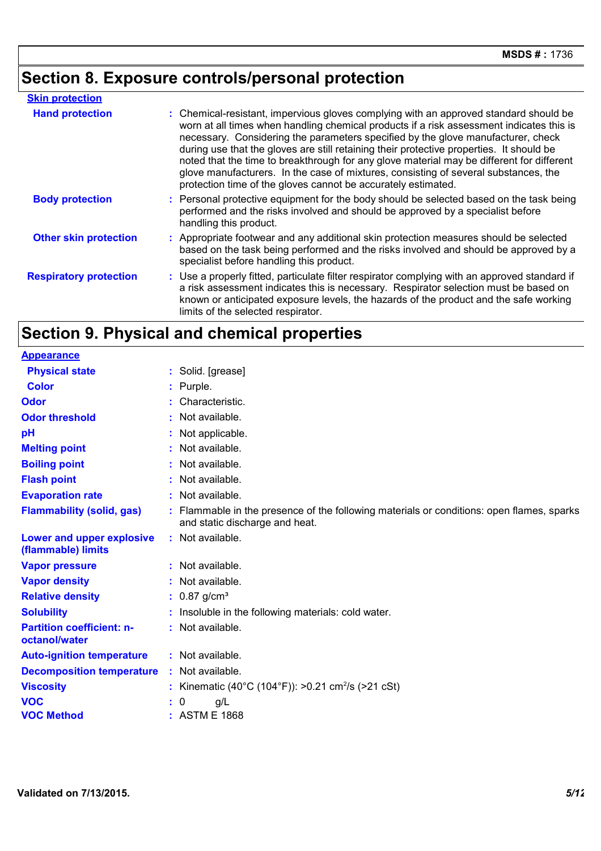# **Section 8. Exposure controls/personal protection**

| <b>Skin protection</b>        |                                                                                                                                                                                                                                                                                                                                                                                                                                                                                                                                                                                                                        |
|-------------------------------|------------------------------------------------------------------------------------------------------------------------------------------------------------------------------------------------------------------------------------------------------------------------------------------------------------------------------------------------------------------------------------------------------------------------------------------------------------------------------------------------------------------------------------------------------------------------------------------------------------------------|
| <b>Hand protection</b>        | : Chemical-resistant, impervious gloves complying with an approved standard should be<br>worn at all times when handling chemical products if a risk assessment indicates this is<br>necessary. Considering the parameters specified by the glove manufacturer, check<br>during use that the gloves are still retaining their protective properties. It should be<br>noted that the time to breakthrough for any glove material may be different for different<br>glove manufacturers. In the case of mixtures, consisting of several substances, the<br>protection time of the gloves cannot be accurately estimated. |
| <b>Body protection</b>        | : Personal protective equipment for the body should be selected based on the task being<br>performed and the risks involved and should be approved by a specialist before<br>handling this product.                                                                                                                                                                                                                                                                                                                                                                                                                    |
| <b>Other skin protection</b>  | : Appropriate footwear and any additional skin protection measures should be selected<br>based on the task being performed and the risks involved and should be approved by a<br>specialist before handling this product.                                                                                                                                                                                                                                                                                                                                                                                              |
| <b>Respiratory protection</b> | : Use a properly fitted, particulate filter respirator complying with an approved standard if<br>a risk assessment indicates this is necessary. Respirator selection must be based on<br>known or anticipated exposure levels, the hazards of the product and the safe working<br>limits of the selected respirator.                                                                                                                                                                                                                                                                                                   |

## **Section 9. Physical and chemical properties**

| <b>Appearance</b>                                 |                                                                                                                             |
|---------------------------------------------------|-----------------------------------------------------------------------------------------------------------------------------|
| <b>Physical state</b>                             | : Solid. [grease]                                                                                                           |
| <b>Color</b>                                      | : Purple.                                                                                                                   |
| Odor                                              | Characteristic.                                                                                                             |
| <b>Odor threshold</b>                             | : Not available.                                                                                                            |
| рH                                                | : Not applicable.                                                                                                           |
| <b>Melting point</b>                              | : Not available.                                                                                                            |
| <b>Boiling point</b>                              | : Not available.                                                                                                            |
| <b>Flash point</b>                                | : Not available.                                                                                                            |
| <b>Evaporation rate</b>                           | : Not available.                                                                                                            |
| <b>Flammability (solid, gas)</b>                  | : Flammable in the presence of the following materials or conditions: open flames, sparks<br>and static discharge and heat. |
| Lower and upper explosive<br>(flammable) limits   | : Not available.                                                                                                            |
| <b>Vapor pressure</b>                             | : Not available.                                                                                                            |
| <b>Vapor density</b>                              | Not available.                                                                                                              |
| <b>Relative density</b>                           | : $0.87$ g/cm <sup>3</sup>                                                                                                  |
| <b>Solubility</b>                                 | : Insoluble in the following materials: cold water.                                                                         |
| <b>Partition coefficient: n-</b><br>octanol/water | : Not available.                                                                                                            |
| <b>Auto-ignition temperature</b>                  | : Not available.                                                                                                            |
| <b>Decomposition temperature</b>                  | : Not available.                                                                                                            |
| <b>Viscosity</b>                                  | : Kinematic (40°C (104°F)): >0.21 cm <sup>2</sup> /s (>21 cSt)                                                              |
| <b>VOC</b>                                        | : 0<br>g/L                                                                                                                  |
| <b>VOC Method</b>                                 | : ASTM E 1868                                                                                                               |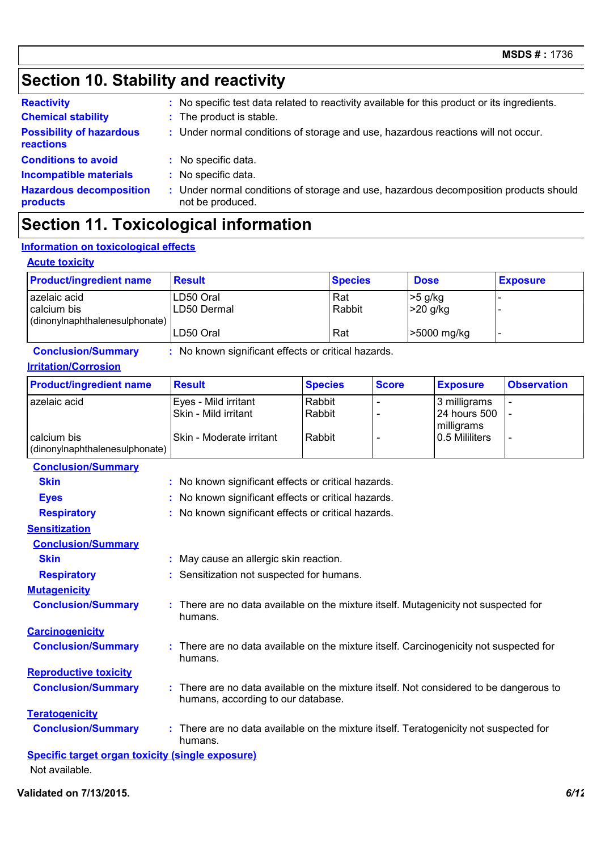### **Section 10. Stability and reactivity**

| <b>Reactivity</b>                            | : No specific test data related to reactivity available for this product or its ingredients.              |
|----------------------------------------------|-----------------------------------------------------------------------------------------------------------|
| <b>Chemical stability</b>                    | : The product is stable.                                                                                  |
| <b>Possibility of hazardous</b><br>reactions | : Under normal conditions of storage and use, hazardous reactions will not occur.                         |
| <b>Conditions to avoid</b>                   | : No specific data.                                                                                       |
| <b>Incompatible materials</b>                | No specific data.                                                                                         |
| <b>Hazardous decomposition</b><br>products   | : Under normal conditions of storage and use, hazardous decomposition products should<br>not be produced. |

### **Section 11. Toxicological information**

### **Information on toxicological effects**

#### **Acute toxicity**

| <b>Product/ingredient name</b>                                | <b>Result</b>            | <b>Species</b> | <b>Dose</b>           | <b>Exposure</b> |
|---------------------------------------------------------------|--------------------------|----------------|-----------------------|-----------------|
| azelaic acid<br>calcium bis<br>(dinonylnaphthalenesulphonate) | LD50 Oral<br>LD50 Dermal | Rat<br>Rabbit  | >5 g/kg<br>$>20$ g/kg |                 |
|                                                               | LD50 Oral                | Rat            | -5000 mg/kg           |                 |

**Conclusion/Summary :** No known significant effects or critical hazards.

#### **Irritation/Corrosion**

| <b>Product/ingredient name</b> | <b>Result</b>            | <b>Species</b> | <b>Score</b> | <b>Exposure</b> | <b>Observation</b> |
|--------------------------------|--------------------------|----------------|--------------|-----------------|--------------------|
| azelaic acid                   | Eyes - Mild irritant     | Rabbit         |              | 3 milligrams    |                    |
|                                | ISkin - Mild irritant    | Rabbit         |              | 24 hours 500    |                    |
|                                |                          |                |              | milligrams      |                    |
| calcium bis                    | Skin - Moderate irritant | Rabbit         |              | 10.5 Mililiters |                    |
| (dinonylnaphthalenesulphonate) |                          |                |              |                 |                    |

| <b>Conclusion/Summary</b>                               |                                                                                                                              |
|---------------------------------------------------------|------------------------------------------------------------------------------------------------------------------------------|
| <b>Skin</b>                                             | : No known significant effects or critical hazards.                                                                          |
| <b>Eyes</b>                                             | : No known significant effects or critical hazards.                                                                          |
| <b>Respiratory</b>                                      | : No known significant effects or critical hazards.                                                                          |
| <b>Sensitization</b>                                    |                                                                                                                              |
| <b>Conclusion/Summary</b>                               |                                                                                                                              |
| <b>Skin</b>                                             | : May cause an allergic skin reaction.                                                                                       |
| <b>Respiratory</b>                                      | : Sensitization not suspected for humans.                                                                                    |
| <b>Mutagenicity</b>                                     |                                                                                                                              |
| <b>Conclusion/Summary</b>                               | : There are no data available on the mixture itself. Mutagenicity not suspected for<br>humans.                               |
| <b>Carcinogenicity</b>                                  |                                                                                                                              |
| <b>Conclusion/Summary</b>                               | : There are no data available on the mixture itself. Carcinogenicity not suspected for<br>humans.                            |
| <b>Reproductive toxicity</b>                            |                                                                                                                              |
| <b>Conclusion/Summary</b>                               | : There are no data available on the mixture itself. Not considered to be dangerous to<br>humans, according to our database. |
| <b>Teratogenicity</b>                                   |                                                                                                                              |
| <b>Conclusion/Summary</b>                               | : There are no data available on the mixture itself. Teratogenicity not suspected for<br>humans.                             |
| <b>Specific target organ toxicity (single exposure)</b> |                                                                                                                              |
| Not available.                                          |                                                                                                                              |

**Validated on 7/13/2015.** *6/12*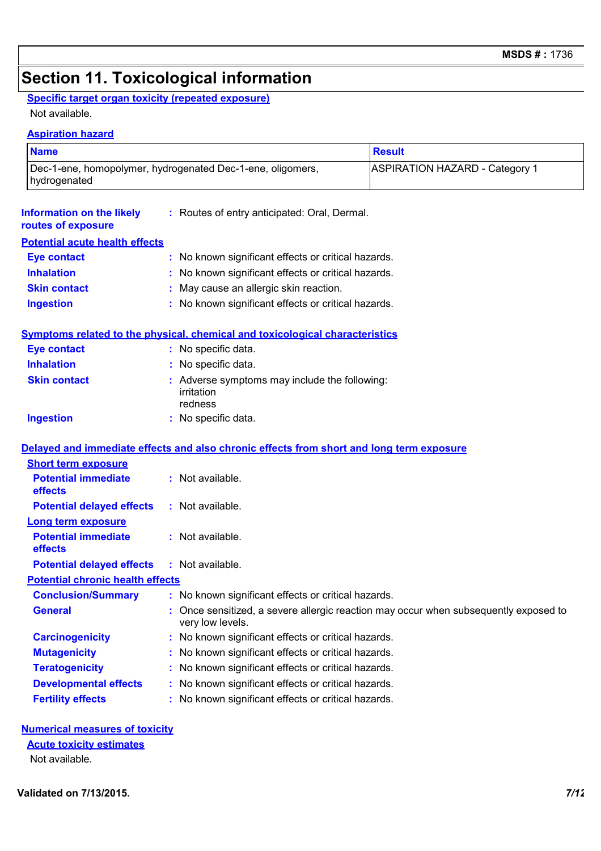### **Section 11. Toxicological information**

### **Specific target organ toxicity (repeated exposure)**

Not available.

**Aspiration hazard**

| <b>Name</b>                                            |                                                                                          | <b>Result</b>                                                                      |  |  |  |
|--------------------------------------------------------|------------------------------------------------------------------------------------------|------------------------------------------------------------------------------------|--|--|--|
| hydrogenated                                           | Dec-1-ene, homopolymer, hydrogenated Dec-1-ene, oligomers,                               | <b>ASPIRATION HAZARD - Category 1</b>                                              |  |  |  |
| <b>Information on the likely</b><br>routes of exposure | : Routes of entry anticipated: Oral, Dermal.                                             |                                                                                    |  |  |  |
| <b>Potential acute health effects</b>                  |                                                                                          |                                                                                    |  |  |  |
| <b>Eye contact</b>                                     | : No known significant effects or critical hazards.                                      |                                                                                    |  |  |  |
| <b>Inhalation</b>                                      | : No known significant effects or critical hazards.                                      |                                                                                    |  |  |  |
| <b>Skin contact</b>                                    | May cause an allergic skin reaction.                                                     |                                                                                    |  |  |  |
| <b>Ingestion</b>                                       | : No known significant effects or critical hazards.                                      |                                                                                    |  |  |  |
|                                                        | <b>Symptoms related to the physical, chemical and toxicological characteristics</b>      |                                                                                    |  |  |  |
| <b>Eye contact</b>                                     | : No specific data.                                                                      |                                                                                    |  |  |  |
| <b>Inhalation</b>                                      | : No specific data.                                                                      |                                                                                    |  |  |  |
| <b>Skin contact</b>                                    | Adverse symptoms may include the following:<br>irritation<br>redness                     |                                                                                    |  |  |  |
| <b>Ingestion</b>                                       | : No specific data.                                                                      |                                                                                    |  |  |  |
|                                                        | Delayed and immediate effects and also chronic effects from short and long term exposure |                                                                                    |  |  |  |
| <b>Short term exposure</b>                             |                                                                                          |                                                                                    |  |  |  |
| <b>Potential immediate</b><br>effects                  | : Not available.                                                                         |                                                                                    |  |  |  |
| <b>Potential delayed effects</b>                       | : Not available.                                                                         |                                                                                    |  |  |  |
| <b>Long term exposure</b>                              |                                                                                          |                                                                                    |  |  |  |
| <b>Potential immediate</b><br>effects                  | : Not available.                                                                         |                                                                                    |  |  |  |
| <b>Potential delayed effects</b>                       | : Not available.                                                                         |                                                                                    |  |  |  |
| <b>Potential chronic health effects</b>                |                                                                                          |                                                                                    |  |  |  |
| <b>Conclusion/Summary</b>                              | : No known significant effects or critical hazards.                                      |                                                                                    |  |  |  |
| <b>General</b>                                         | very low levels.                                                                         | Once sensitized, a severe allergic reaction may occur when subsequently exposed to |  |  |  |
| <b>Carcinogenicity</b>                                 | No known significant effects or critical hazards.                                        |                                                                                    |  |  |  |
| <b>Mutagenicity</b>                                    | No known significant effects or critical hazards.                                        |                                                                                    |  |  |  |
| <b>Teratogenicity</b>                                  | No known significant effects or critical hazards.                                        |                                                                                    |  |  |  |
| <b>Developmental effects</b>                           | No known significant effects or critical hazards.                                        |                                                                                    |  |  |  |
| <b>Fertility effects</b>                               | : No known significant effects or critical hazards.                                      |                                                                                    |  |  |  |

#### **Numerical measures of toxicity**

#### **Acute toxicity estimates**

Not available.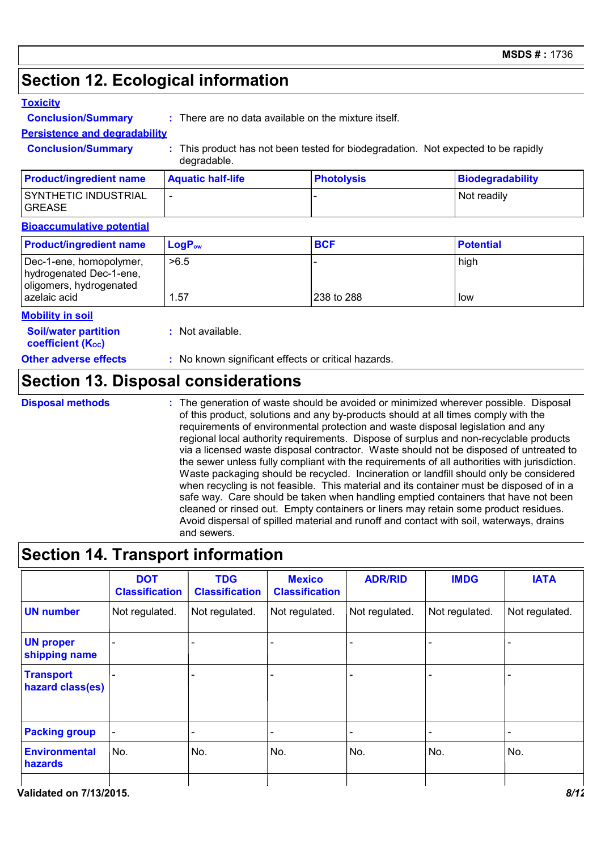### **Section 12. Ecological information**

#### **Toxicity**

**Conclusion/Summary :** There are no data available on the mixture itself.

### **Persistence and degradability**

**Conclusion/Summary :** This product has not been tested for biodegradation. Not expected to be rapidly degradable.

| <b>Product/ingredient name</b>        | <b>Aquatic half-life</b> | <b>Photolysis</b> | <b>Biodegradability</b> |
|---------------------------------------|--------------------------|-------------------|-------------------------|
| SYNTHETIC INDUSTRIAL<br><b>GREASE</b> |                          |                   | Not readily             |

#### **Bioaccumulative potential**

| <b>Product/ingredient name</b>                                                | $LogP_{ow}$ | <b>BCF</b> | <b>Potential</b> |
|-------------------------------------------------------------------------------|-------------|------------|------------------|
| Dec-1-ene, homopolymer,<br>hydrogenated Dec-1-ene,<br>oligomers, hydrogenated | >6.5        |            | high             |
| azelaic acid                                                                  | . 57        | 238 to 288 | low              |

#### **Mobility in soil**

| <b>Soil/water partition</b> | : Not available. |
|-----------------------------|------------------|
| <b>coefficient (Koc)</b>    |                  |
| Other adverse effects       | : No known sig   |

#### **Other adverse effects** : No known significant effects or critical hazards.

### **Section 13. Disposal considerations**

**Disposal methods :**

The generation of waste should be avoided or minimized wherever possible. Disposal of this product, solutions and any by-products should at all times comply with the requirements of environmental protection and waste disposal legislation and any regional local authority requirements. Dispose of surplus and non-recyclable products via a licensed waste disposal contractor. Waste should not be disposed of untreated to the sewer unless fully compliant with the requirements of all authorities with jurisdiction. Waste packaging should be recycled. Incineration or landfill should only be considered when recycling is not feasible. This material and its container must be disposed of in a safe way. Care should be taken when handling emptied containers that have not been cleaned or rinsed out. Empty containers or liners may retain some product residues. Avoid dispersal of spilled material and runoff and contact with soil, waterways, drains and sewers.

### **Section 14. Transport information**

| <b>DOT</b><br><b>Classification</b> | <b>TDG</b><br><b>Classification</b> | <b>Mexico</b><br><b>Classification</b> | <b>ADR/RID</b> | <b>IMDG</b>    | <b>IATA</b>    |
|-------------------------------------|-------------------------------------|----------------------------------------|----------------|----------------|----------------|
| Not regulated.                      | Not regulated.                      | Not regulated.                         | Not regulated. | Not regulated. | Not regulated. |
|                                     |                                     |                                        |                |                |                |
|                                     | -                                   |                                        |                |                |                |
| -                                   |                                     |                                        |                |                |                |
| No.                                 | No.                                 | No.                                    | No.            | No.            | No.            |
|                                     |                                     |                                        |                |                |                |

**Validated on 7/13/2015.** *8/12*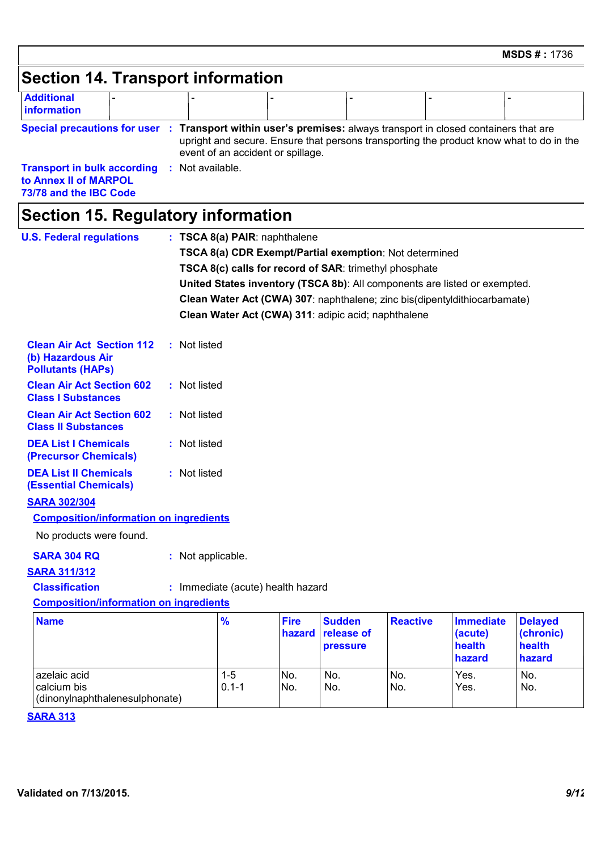# **Section 14. Transport information**

| <b>Additional</b><br><b>Information</b>                                               |  |                                   |  |                                                                                                                                                                             |  |
|---------------------------------------------------------------------------------------|--|-----------------------------------|--|-----------------------------------------------------------------------------------------------------------------------------------------------------------------------------|--|
| <b>Special precautions for user :</b>                                                 |  | event of an accident or spillage. |  | Transport within user's premises: always transport in closed containers that are<br>upright and secure. Ensure that persons transporting the product know what to do in the |  |
| <b>Transport in bulk according</b><br>to Annex II of MARPOL<br>73/78 and the IBC Code |  | Not available.                    |  |                                                                                                                                                                             |  |

# **Section 15. Regulatory information**

| <b>U.S. Federal regulations</b>                                                   |                                                                           | : TSCA 8(a) PAIR: naphthalene     |                       |                                                                           |                 |                                                 |                                                 |  |
|-----------------------------------------------------------------------------------|---------------------------------------------------------------------------|-----------------------------------|-----------------------|---------------------------------------------------------------------------|-----------------|-------------------------------------------------|-------------------------------------------------|--|
|                                                                                   |                                                                           |                                   |                       | TSCA 8(a) CDR Exempt/Partial exemption: Not determined                    |                 |                                                 |                                                 |  |
|                                                                                   |                                                                           |                                   |                       | TSCA 8(c) calls for record of SAR: trimethyl phosphate                    |                 |                                                 |                                                 |  |
|                                                                                   | United States inventory (TSCA 8b): All components are listed or exempted. |                                   |                       |                                                                           |                 |                                                 |                                                 |  |
|                                                                                   |                                                                           |                                   |                       | Clean Water Act (CWA) 307: naphthalene; zinc bis(dipentyldithiocarbamate) |                 |                                                 |                                                 |  |
|                                                                                   |                                                                           |                                   |                       | Clean Water Act (CWA) 311: adipic acid; naphthalene                       |                 |                                                 |                                                 |  |
| <b>Clean Air Act Section 112</b><br>(b) Hazardous Air<br><b>Pollutants (HAPS)</b> | : Not listed                                                              |                                   |                       |                                                                           |                 |                                                 |                                                 |  |
| <b>Clean Air Act Section 602</b><br><b>Class I Substances</b>                     | : Not listed                                                              |                                   |                       |                                                                           |                 |                                                 |                                                 |  |
| <b>Clean Air Act Section 602</b><br><b>Class II Substances</b>                    | : Not listed                                                              |                                   |                       |                                                                           |                 |                                                 |                                                 |  |
| <b>DEA List I Chemicals</b><br>(Precursor Chemicals)                              | : Not listed                                                              |                                   |                       |                                                                           |                 |                                                 |                                                 |  |
| <b>DEA List II Chemicals</b><br><b>(Essential Chemicals)</b>                      | : Not listed                                                              |                                   |                       |                                                                           |                 |                                                 |                                                 |  |
| <b>SARA 302/304</b>                                                               |                                                                           |                                   |                       |                                                                           |                 |                                                 |                                                 |  |
| <b>Composition/information on ingredients</b>                                     |                                                                           |                                   |                       |                                                                           |                 |                                                 |                                                 |  |
| No products were found.                                                           |                                                                           |                                   |                       |                                                                           |                 |                                                 |                                                 |  |
| <b>SARA 304 RQ</b>                                                                | : Not applicable.                                                         |                                   |                       |                                                                           |                 |                                                 |                                                 |  |
| <b>SARA 311/312</b>                                                               |                                                                           |                                   |                       |                                                                           |                 |                                                 |                                                 |  |
| <b>Classification</b>                                                             |                                                                           | : Immediate (acute) health hazard |                       |                                                                           |                 |                                                 |                                                 |  |
| <b>Composition/information on ingredients</b>                                     |                                                                           |                                   |                       |                                                                           |                 |                                                 |                                                 |  |
| <b>Name</b>                                                                       |                                                                           | $\frac{9}{6}$                     | <b>Fire</b><br>hazard | <b>Sudden</b><br>release of<br>pressure                                   | <b>Reactive</b> | <b>Immediate</b><br>(acute)<br>health<br>hazard | <b>Delayed</b><br>(chronic)<br>health<br>hazard |  |
| azelaic acid<br>calcium bis<br>(dinonylnaphthalenesulphonate)                     |                                                                           | $1 - 5$<br>$0.1 - 1$              | No.<br>No.            | No.<br>No.                                                                | No.<br>No.      | Yes.<br>Yes.                                    | No.<br>No.                                      |  |

#### **SARA 313**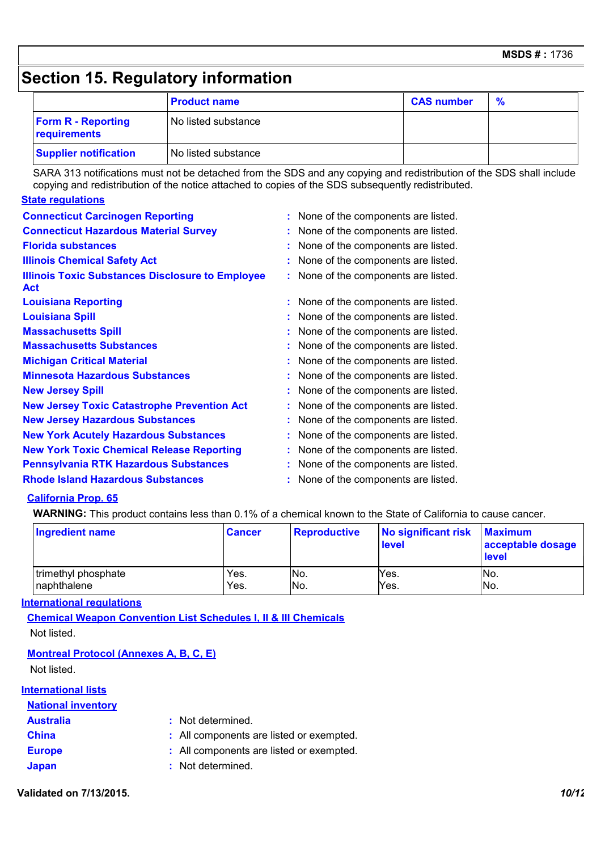### **Section 15. Regulatory information**

|                                           | <b>Product name</b> | <b>CAS number</b> | $\%$ |
|-------------------------------------------|---------------------|-------------------|------|
| <b>Form R - Reporting</b><br>requirements | No listed substance |                   |      |
| <b>Supplier notification</b>              | No listed substance |                   |      |

SARA 313 notifications must not be detached from the SDS and any copying and redistribution of the SDS shall include copying and redistribution of the notice attached to copies of the SDS subsequently redistributed.

#### **State regulations**

| <b>Connecticut Carcinogen Reporting</b>                               | : None of the components are listed. |
|-----------------------------------------------------------------------|--------------------------------------|
| <b>Connecticut Hazardous Material Survey</b>                          | None of the components are listed.   |
| <b>Florida substances</b>                                             | None of the components are listed.   |
| <b>Illinois Chemical Safety Act</b>                                   | None of the components are listed.   |
| <b>Illinois Toxic Substances Disclosure to Employee</b><br><b>Act</b> | : None of the components are listed. |
| <b>Louisiana Reporting</b>                                            | : None of the components are listed. |
| <b>Louisiana Spill</b>                                                | None of the components are listed.   |
| <b>Massachusetts Spill</b>                                            | None of the components are listed.   |
| <b>Massachusetts Substances</b>                                       | None of the components are listed.   |
| <b>Michigan Critical Material</b>                                     | None of the components are listed.   |
| <b>Minnesota Hazardous Substances</b>                                 | None of the components are listed.   |
| <b>New Jersey Spill</b>                                               | None of the components are listed.   |
| <b>New Jersey Toxic Catastrophe Prevention Act</b>                    | None of the components are listed.   |
| <b>New Jersey Hazardous Substances</b>                                | None of the components are listed.   |
| <b>New York Acutely Hazardous Substances</b>                          | None of the components are listed.   |
| <b>New York Toxic Chemical Release Reporting</b>                      | None of the components are listed.   |
| <b>Pennsylvania RTK Hazardous Substances</b>                          | None of the components are listed.   |
| <b>Rhode Island Hazardous Substances</b>                              | None of the components are listed.   |

#### **California Prop. 65**

**WARNING:** This product contains less than 0.1% of a chemical known to the State of California to cause cancer.

| Ingredient name     | <b>Cancer</b> | <b>Reproductive</b> | No significant risk<br>level | <b>Maximum</b><br>acceptable dosage<br>level |
|---------------------|---------------|---------------------|------------------------------|----------------------------------------------|
| trimethyl phosphate | Yes.          | No.                 | Yes.                         | No.                                          |
| naphthalene         | Yes.          | No.                 | Yes.                         | No.                                          |

#### **International regulations**

**Chemical Weapon Convention List Schedules I, II & III Chemicals** Not listed.

#### **Montreal Protocol (Annexes A, B, C, E)**

Not listed.

#### **International lists National inventory**

| <b>National Inventory</b> |                                          |
|---------------------------|------------------------------------------|
| <b>Australia</b>          | : Not determined.                        |
| <b>China</b>              | : All components are listed or exempted. |
| <b>Europe</b>             | : All components are listed or exempted. |
| <b>Japan</b>              | : Not determined.                        |

**Validated on 7/13/2015.** *10/12*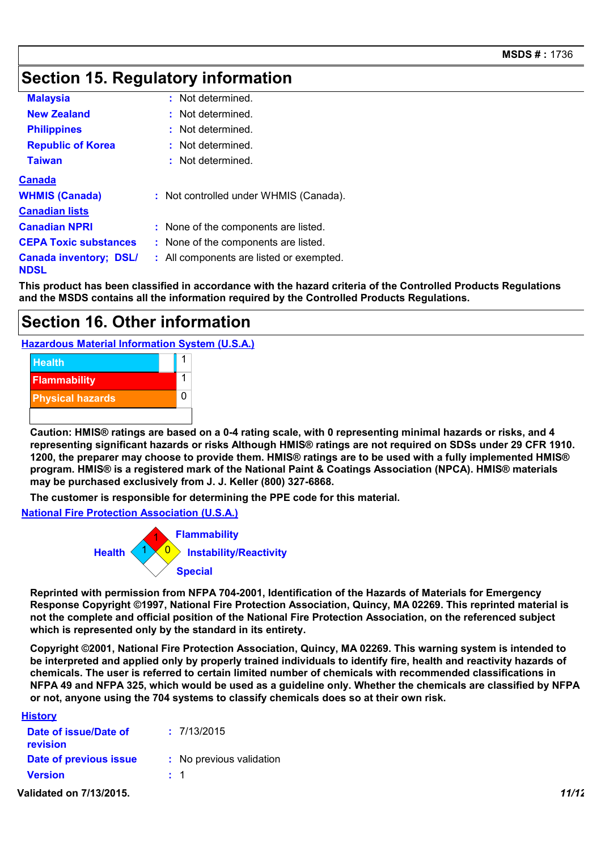### **Section 15. Regulatory information**

| <b>Malaysia</b>                              | : Not determined.                        |
|----------------------------------------------|------------------------------------------|
| <b>New Zealand</b>                           | Not determined.                          |
| <b>Philippines</b>                           | Not determined.                          |
| <b>Republic of Korea</b>                     | Not determined.                          |
| <b>Taiwan</b>                                | : Not determined.                        |
| <b>Canada</b>                                |                                          |
| <b>WHMIS (Canada)</b>                        | : Not controlled under WHMIS (Canada).   |
| <b>Canadian lists</b>                        |                                          |
| <b>Canadian NPRI</b>                         | : None of the components are listed.     |
| <b>CEPA Toxic substances</b>                 | : None of the components are listed.     |
| <b>Canada inventory; DSL/</b><br><b>NDSL</b> | : All components are listed or exempted. |

**This product has been classified in accordance with the hazard criteria of the Controlled Products Regulations and the MSDS contains all the information required by the Controlled Products Regulations.**

### **Section 16. Other information**

**Hazardous Material Information System (U.S.A.)**



**Caution: HMIS® ratings are based on a 0-4 rating scale, with 0 representing minimal hazards or risks, and 4 representing significant hazards or risks Although HMIS® ratings are not required on SDSs under 29 CFR 1910. 1200, the preparer may choose to provide them. HMIS® ratings are to be used with a fully implemented HMIS® program. HMIS® is a registered mark of the National Paint & Coatings Association (NPCA). HMIS® materials may be purchased exclusively from J. J. Keller (800) 327-6868.**

**The customer is responsible for determining the PPE code for this material.**

**National Fire Protection Association (U.S.A.)**



**Reprinted with permission from NFPA 704-2001, Identification of the Hazards of Materials for Emergency Response Copyright ©1997, National Fire Protection Association, Quincy, MA 02269. This reprinted material is not the complete and official position of the National Fire Protection Association, on the referenced subject which is represented only by the standard in its entirety.**

**Copyright ©2001, National Fire Protection Association, Quincy, MA 02269. This warning system is intended to be interpreted and applied only by properly trained individuals to identify fire, health and reactivity hazards of chemicals. The user is referred to certain limited number of chemicals with recommended classifications in NFPA 49 and NFPA 325, which would be used as a guideline only. Whether the chemicals are classified by NFPA or not, anyone using the 704 systems to classify chemicals does so at their own risk.**

| <b>History</b>                    |                          |       |
|-----------------------------------|--------------------------|-------|
| Date of issue/Date of<br>revision | : 7/13/2015              |       |
| Date of previous issue            | : No previous validation |       |
| <b>Version</b>                    | $\pm$ 1                  |       |
| Validated on 7/13/2015            |                          | 11/12 |